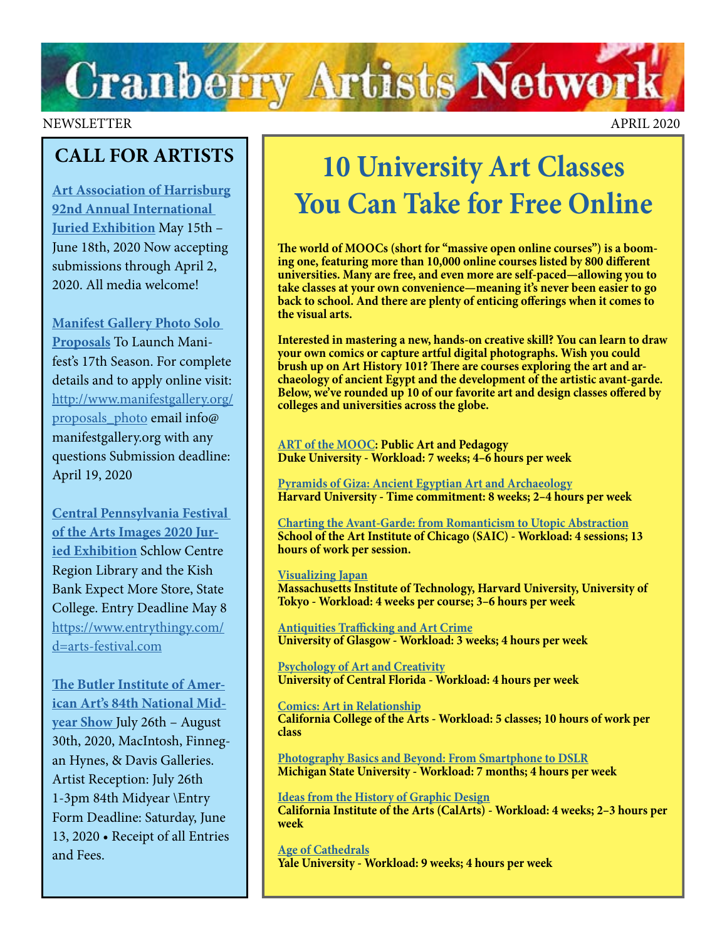# **Cranberry Artists Network**

#### NEWSLETTER APRIL 2020

### **CALL FOR ARTISTS**

**[Art Association of Harrisburg](https://www.artassocofhbg.com/wp-content/uploads/2020/01/92nd-Annual-International-Juried-Exhibition.pdf) [92nd Annual International](https://www.artassocofhbg.com/wp-content/uploads/2020/01/92nd-Annual-International-Juried-Exhibition.pdf)  [Juried Exhibition](https://www.artassocofhbg.com/wp-content/uploads/2020/01/92nd-Annual-International-Juried-Exhibition.pdf)** May 15th – June 18th, 2020 Now accepting submissions through April 2, 2020. All media welcome!

**[Manifest Gallery Photo Solo](http://www.manifestgallery.org/proposals_photo)  [Proposals](http://www.manifestgallery.org/proposals_photo)** To Launch Manifest's 17th Season. For complete details and to apply online visit: [http://www.manifestgallery.org/](http://www.manifestgallery.org/proposals_photo) [proposals\\_photo](http://www.manifestgallery.org/proposals_photo) email info@ manifestgallery.org with any questions Submission deadline: April 19, 2020

**[Central Pennsylvania Festival](https://arts-festival.com/images-juried-exhibition)  [of the Arts Images 2020 Jur](https://arts-festival.com/images-juried-exhibition)[ied Exhibition](https://arts-festival.com/images-juried-exhibition)** Schlow Centre Region Library and the Kish Bank Expect More Store, State College. Entry Deadline May 8 [https://www.entrythingy.com/](https://www.entrythingy.com/d=arts-festival.com) [d=arts-festival.com](https://www.entrythingy.com/d=arts-festival.com)

**[The Butler Institute of Amer](https://butlerart.com/art/84th-national-mid-year-show/)[ican Art's 84th National Mid](https://butlerart.com/art/84th-national-mid-year-show/)[year Show](https://butlerart.com/art/84th-national-mid-year-show/)** July 26th – August 30th, 2020, MacIntosh, Finnegan Hynes, & Davis Galleries. Artist Reception: July 26th 1-3pm 84th Midyear \Entry Form Deadline: Saturday, June 13, 2020 • Receipt of all Entries and Fees.

## **10 University Art Classes You Can Take for Free Online**

**The world of MOOCs (short for "massive open online courses") is a booming one, featuring more than 10,000 online courses listed by 800 different universities. Many are free, and even more are self-paced—allowing you to take classes at your own convenience—meaning it's never been easier to go back to school. And there are plenty of enticing offerings when it comes to the visual arts.**

**Interested in mastering a new, hands-on creative skill? You can learn to draw your own comics or capture artful digital photographs. Wish you could brush up on Art History 101? There are courses exploring the art and archaeology of ancient Egypt and the development of the artistic avant-garde. Below, we've rounded up 10 of our favorite art and design classes offered by colleges and universities across the globe.**

**[ART of the MOOC:](https://www.classcentral.com/course/moocs-4095) Public Art and Pedagogy Duke University - Workload: 7 weeks; 4–6 hours per week**

**[Pyramids of Giza: Ancient Egyptian Art and Archaeology](https://www.edx.org/course/pyramids-of-giza-ancient-egyptian-art-and-archaeol?source=aw&awc=6798_1541134264_f21ea65dcbefff56717a3d36f4751599&utm_source=aw&utm_medium=affiliate_partner&utm_content=text-link&utm_term=301045_https%3A%2F%2Fwww.class-central.com%2F) Harvard University - Time commitment: 8 weeks; 2–4 hours per week**

**[Charting the Avant-Garde: from Romanticism to Utopic Abstraction](https://www.classcentral.com/course/kadenze-charting-the-avant-garde-from-romanticism-to-utopic-abstraction-8408) School of the Art Institute of Chicago (SAIC) - Workload: 4 sessions; 13 hours of work per session.**

**[Visualizing Japan](https://www.edx.org/xseries/visualizing-japan) Massachusetts Institute of Technology, Harvard University, University of Tokyo - Workload: 4 weeks per course; 3–6 hours per week**

**[Antiquities Trafficking and Art Crime](https://www.futurelearn.com/courses/art-crime) University of Glasgow - Workload: 3 weeks; 4 hours per week**

**[Psychology of Art and Creativity](https://www.classcentral.com/course/canvas-network-psychology-of-art-and-creativity-11225) University of Central Florida - Workload: 4 hours per week**

**[Comics: Art in Relationship](https://www.classcentral.com/course/kadenze-comics-art-in-relationship-3775) California College of the Arts - Workload: 5 classes; 10 hours of work per class**

**[Photography Basics and Beyond: From Smartphone to DSLR](https://www.coursera.org/specializations/photography-basics) Michigan State University - Workload: 7 months; 4 hours per week**

**[Ideas from the History of Graphic Design](https://www.coursera.org/learn/graphic-design-history?specialization=graphic-design) California Institute of the Arts (CalArts) - Workload: 4 weeks; 2–3 hours per week**

**[Age of Cathedrals](https://www.classcentral.com/course/age-of-cathedrals-9671) Yale University - Workload: 9 weeks; 4 hours per week**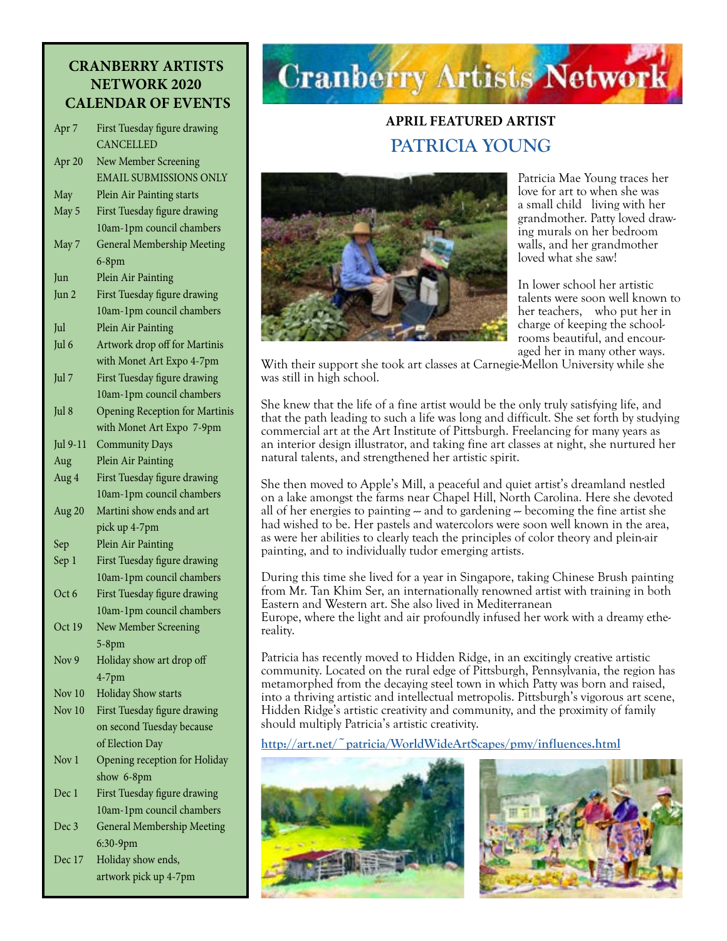#### **CRANBERRY ARTISTS NETWORK 2020 CALENDAR OF EVENTS**

| Apr <sub>7</sub> | First Tuesday figure drawing          |
|------------------|---------------------------------------|
|                  | CANCELLED                             |
| Apr 20           | <b>New Member Screening</b>           |
|                  | <b>EMAIL SUBMISSIONS ONLY</b>         |
| May              | Plein Air Painting starts             |
| May 5            | First Tuesday figure drawing          |
|                  | 10am-1pm council chambers             |
| May 7            | <b>General Membership Meeting</b>     |
|                  | 6-8pm                                 |
| Jun              | Plein Air Painting                    |
| Jun 2            | First Tuesday figure drawing          |
|                  | 10am-1pm council chambers             |
| Jul              | Plein Air Painting                    |
| Jul 6            | Artwork drop off for Martinis         |
|                  | with Monet Art Expo 4-7pm             |
| Jul 7            | First Tuesday figure drawing          |
|                  |                                       |
|                  | 10am-1pm council chambers             |
| Jul 8            | <b>Opening Reception for Martinis</b> |
|                  | with Monet Art Expo 7-9pm             |
| Jul 9-11         | <b>Community Days</b>                 |
| Aug              | Plein Air Painting                    |
| Aug 4            | First Tuesday figure drawing          |
|                  | 10am-1pm council chambers             |
| Aug 20           | Martini show ends and art             |
|                  | pick up 4-7pm                         |
| Sep              | Plein Air Painting                    |
| Sep 1            | First Tuesday figure drawing          |
|                  | 10am-1pm council chambers             |
| Oct 6            | First Tuesday figure drawing          |
|                  | 10am-1pm council chambers             |
| Oct 19           | New Member Screening                  |
|                  | $5-8$ pm                              |
| Nov 9            | Holiday show art drop off             |
|                  | $4-7$ pm                              |
| Nov 10           | <b>Holiday Show starts</b>            |
| Nov $10$         | First Tuesday figure drawing          |
|                  | on second Tuesday because             |
|                  | of Election Day                       |
| Nov 1            | Opening reception for Holiday         |
|                  | show 6-8pm                            |
| Dec 1            | First Tuesday figure drawing          |
|                  | 10am-1pm council chambers             |
| Dec 3            | <b>General Membership Meeting</b>     |
|                  | 6:30-9pm                              |
| Dec 17           | Holiday show ends,                    |
|                  | artwork pick up 4-7pm                 |

# **Cranberry Artists Network**

### **APRIL FEATURED ARTIST PATRICIA YOUNG**



Patricia Mae Young traces her love for art to when she was a small child living with her grandmother. Patty loved drawing murals on her bedroom walls, and her grandmother loved what she saw!

In lower school her artistic talents were soon well known to her teachers, who put her in charge of keeping the schoolrooms beautiful, and encouraged her in many other ways.

With their support she took art classes at Carnegie-Mellon University while she was still in high school.

She knew that the life of a fine artist would be the only truly satisfying life, and that the path leading to such a life was long and difficult. She set forth by studying commercial art at the Art Institute of Pittsburgh. Freelancing for many years as an interior design illustrator, and taking fine art classes at night, she nurtured her natural talents, and strengthened her artistic spirit.

She then moved to Apple's Mill, a peaceful and quiet artist's dreamland nestled on a lake amongst the farms near Chapel Hill, North Carolina. Here she devoted all of her energies to painting  $\sim$  and to gardening  $\sim$  becoming the fine artist she had wished to be. Her pastels and watercolors were soon well known in the area, as were her abilities to clearly teach the principles of color theory and plein-air painting, and to individually tudor emerging artists.

During this time she lived for a year in Singapore, taking Chinese Brush painting from Mr. Tan Khim Ser, an internationally renowned artist with training in both Eastern and Western art. She also lived in Mediterranean Europe, where the light and air profoundly infused her work with a dreamy ethereality.

Patricia has recently moved to Hidden Ridge, in an excitingly creative artistic community. Located on the rural edge of Pittsburgh, Pennsylvania, the region has metamorphed from the decaying steel town in which Patty was born and raised, into a thriving artistic and intellectual metropolis. Pittsburgh's vigorous art scene, Hidden Ridge's artistic creativity and community, and the proximity of family should multiply Patricia's artistic creativity.

**<http://art.net/~patricia/WorldWideArtScapes/pmy/influences.html>**



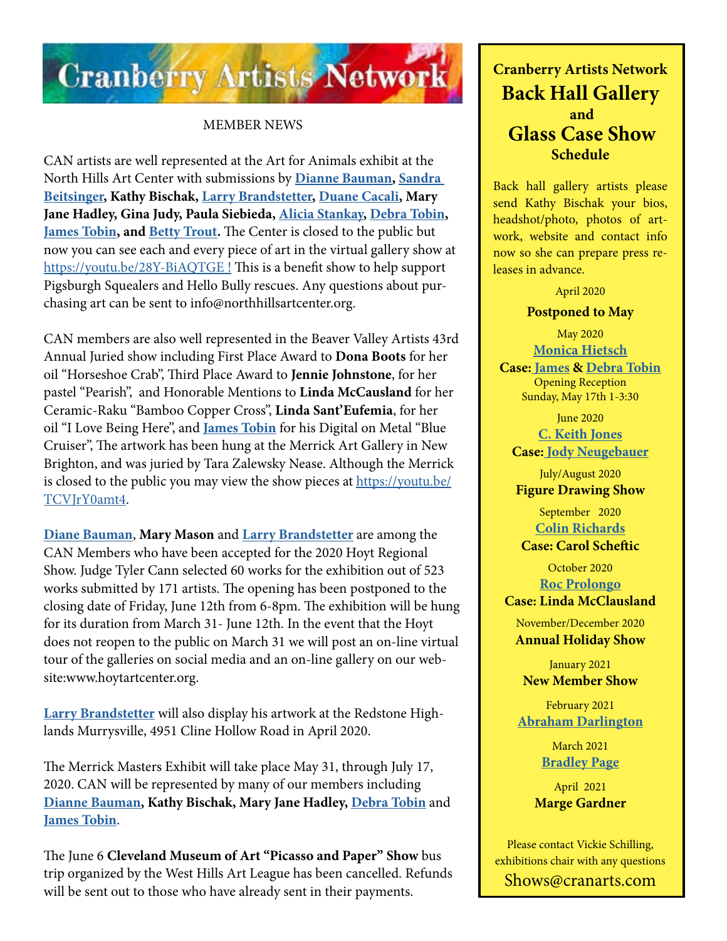

#### MEMBER NEWS

CAN artists are well represented at the Art for Animals exhibit at the North Hills Art Center with submissions by **[Dianne Bauman](http://www.diannebauman.com/), [Sandra](https://www.facebook.com/pages/category/Artist/Artwork-by-Sandra-Beitsinger-1593379080977965/)  [Beitsinger](https://www.facebook.com/pages/category/Artist/Artwork-by-Sandra-Beitsinger-1593379080977965/), Kathy Bischak, [Larry Brandstetter,](https://www.facebook.com/pages/category/Artist/Larry-Brandstetter-Doodler-379832832491777/) [Duane Cacali](https://www.dcdigitalcanvas.com/), Mary Jane Hadley, Gina Judy, Paula Siebieda, [Alicia Stankay](https://www.amazon.com/Alicia-Stankay/e/B00A8SAR1G%3Fref=dbs_a_mng_rwt_scns_share), [Debra Tobin,](http://www.debratobinart.com/) [James Tobin](https://jamestobinart.com/), and [Betty Trout.](https://www.bettytrout.com/)** The Center is closed to the public but now you can see each and every piece of art in the virtual gallery show at <https://youtu.be/28Y-BiAQTGE>! This is a benefit show to help support Pigsburgh Squealers and Hello Bully rescues. Any questions about purchasing art can be sent to info@northhillsartcenter.org.

CAN members are also well represented in the Beaver Valley Artists 43rd Annual Juried show including First Place Award to **Dona Boots** for her oil "Horseshoe Crab", Third Place Award to **Jennie Johnstone**, for her pastel "Pearish", and Honorable Mentions to **Linda McCausland** for her Ceramic-Raku "Bamboo Copper Cross", **Linda Sant'Eufemia**, for her oil "I Love Being Here", and **[James Tobin](https://jamestobinart.com/)** for his Digital on Metal "Blue Cruiser", The artwork has been hung at the Merrick Art Gallery in New Brighton, and was juried by Tara Zalewsky Nease. Although the Merrick is closed to the public you may view the show pieces at [https://youtu.be/](https://youtu.be/TCVJrY0amt4) [TCVJrY0amt4](https://youtu.be/TCVJrY0amt4).

**[Diane Bauman](http://www.diannebauman.com/)**, **Mary Mason** and **[Larry Brandstetter](https://www.facebook.com/pages/category/Artist/Larry-Brandstetter-Doodler-379832832491777/)** are among the CAN Members who have been accepted for the 2020 Hoyt Regional Show. Judge Tyler Cann selected 60 works for the exhibition out of 523 works submitted by 171 artists. The opening has been postponed to the closing date of Friday, June 12th from 6-8pm. The exhibition will be hung for its duration from March 31- June 12th. In the event that the Hoyt does not reopen to the public on March 31 we will post an on-line virtual tour of the galleries on social media and an on-line gallery on our website:www.hoytartcenter.org.

**[Larry Brandstetter](https://www.facebook.com/pages/category/Artist/Larry-Brandstetter-Doodler-379832832491777/)** will also display his artwork at the Redstone Highlands Murrysville, 4951 Cline Hollow Road in April 2020.

The Merrick Masters Exhibit will take place May 31, through July 17, 2020. CAN will be represented by many of our members including **[Dianne Bauman,](http://www.diannebauman.com/) Kathy Bischak, Mary Jane Hadley, [Debra Tobin](http://www.debratobinart.com/)** and **[James Tobin](https://jamestobinart.com/)**.

The June 6 **Cleveland Museum of Art "Picasso and Paper" Show** bus trip organized by the West Hills Art League has been cancelled. Refunds will be sent out to those who have already sent in their payments.

### **Cranberry Artists Network Back Hall Gallery and Glass Case Show Schedule**

Back hall gallery artists please send Kathy Bischak your bios, headshot/photo, photos of artwork, website and contact info now so she can prepare press releases in advance.

April 2020

#### **Postponed to May**

May 2020 **[Monica Hietsch](https://www.monicahietsch.com/)**

**Case: [James](http://www.jamestobinart.com) & [Debra Tobin](http://www.debratobinart.com)** [Opening Reception](http://www.debratobinart.com)  [Sunday, May 17th 1-3:30](http://www.debratobinart.com)

June 2020 **[C. Keith Jones](http://ckeithjonesartist.com/) Case: [Jody Neugebauer](https://dream-queststudio.blogspot.com/)**

July/August 2020 **Figure Drawing Show**

> September 2020 **[Colin Richards](https://www.colinrichardsart.com/)**

**Case: Carol Scheftic**

October 2020 **[Roc Prolongo](https://www.rocprologo.com/)**

**Case: Linda McClausland**

November/December 2020 **Annual Holiday Show**

January 2021 **New Member Show**

February 2021 **[Abraham Darlington](https://www.facebook.com/abraham.darlington)**

> March 2021 **[Bradley Page](https://fireandfumes.com/)**

April 2021 **Marge Gardner**

Please contact Vickie Schilling, exhibitions chair with any questions Shows@cranarts.com